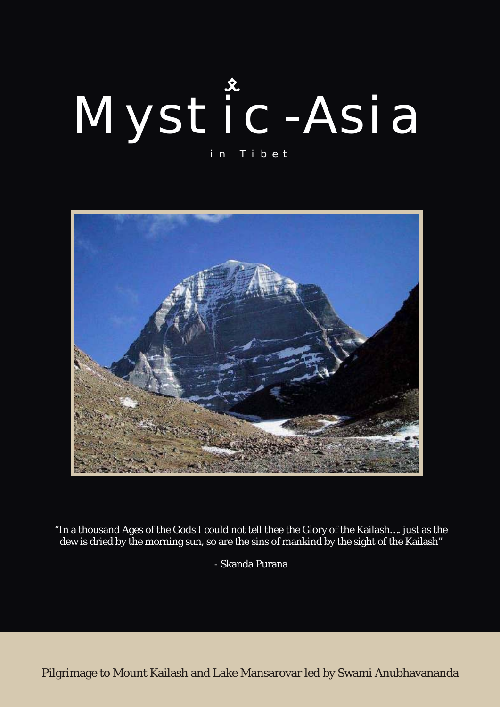# Mystic-Asia in Tibet



"In a thousand Ages of the Gods I could not tell thee the Glory of the Kailash…. just as the dew is dried by the morning sun, so are the sins of mankind by the sight of the Kailash"

- Skanda Purana

Pilgrimage to Mount Kailash and Lake Mansarovar led by Swami Anubhavananda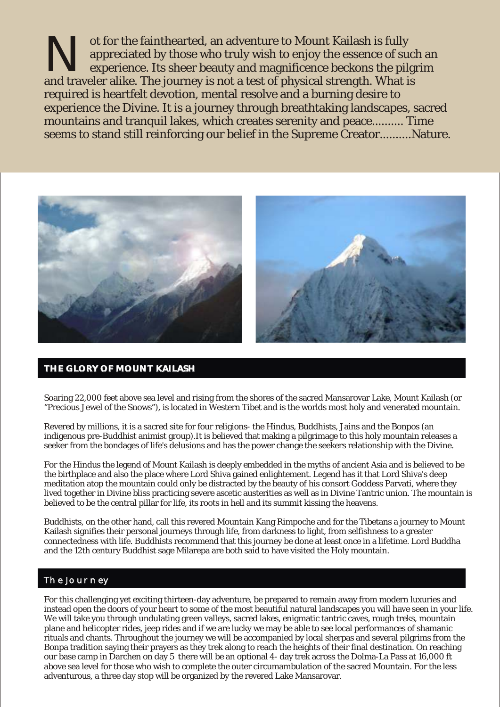The faint hearted, an adventure to Mount Kailash is fully appreciated by those who truly wish to enjoy the essence of such an experience. Its sheer beauty and magnificence beckons the pilgrim and traveler alike. The journe and traveler alike. The journey is not a test of physical strength. What is required is heartfelt devotion, mental resolve and a burning desire to experience the Divine. It is a journey through breathtaking landscapes, sacred mountains and tranquil lakes, which creates serenity and peace.......... Time seems to stand still reinforcing our belief in the Supreme Creator..........Nature.



#### **THE GLORY OF MOUNT KAILASH THE GLORY OF MOUNT KAILASH**

Soaring 22,000 feet above sea level and rising from the shores of the sacred Mansarovar Lake, Mount Kailash (or "Precious Jewel of the Snows"), is located in Western Tibet and is the worlds most holy and venerated mountain.

Revered by millions, it is a sacred site for four religions- the Hindus, Buddhists, Jains and the Bonpos (an indigenous pre-Buddhist animist group).It is believed that making a pilgrimage to this holy mountain releases a seeker from the bondages of life's delusions and has the power change the seekers relationship with the Divine.

For the Hindus the legend of Mount Kailash is deeply embedded in the myths of ancient Asia and is believed to be the birthplace and also the place where Lord Shiva gained enlightement. Legend has it that Lord Shiva's deep meditation atop the mountain could only be distracted by the beauty of his consort Goddess Parvati, where they lived together in Divine bliss practicing severe ascetic austerities as well as in Divine Tantric union. The mountain is believed to be the central pillar for life, its roots in hell and its summit kissing the heavens.

Buddhists, on the other hand, call this revered Mountain Kang Rimpoche and for the Tibetans a journey to Mount Kailash signifies their personal journeys through life, from darkness to light, from selfishness to a greater connectedness with life. Buddhists recommend that this journey be done at least once in a lifetime. Lord Buddha and the 12th century Buddhist sage Milarepa are both said to have visited the Holy mountain.

#### The Journey

For this challenging yet exciting thirteen-day adventure, be prepared to remain away from modern luxuries and instead open the doors of your heart to some of the most beautiful natural landscapes you will have seen in your life. We will take you through undulating green valleys, sacred lakes, enigmatic tantric caves, rough treks, mountain plane and helicopter rides, jeep rides and if we are lucky we may be able to see local performances of shamanic rituals and chants. Throughout the journey we will be accompanied by local sherpas and several pilgrims from the Bonpa tradition saying their prayers as they trek along to reach the heights of their final destination. On reaching our base camp in Darchen on day 5 there will be an optional 4- day trek across the Dolma-La Pass at 16,000 ft above sea level for those who wish to complete the outer circumambulation of the sacred Mountain. For the less adventurous, a three day stop will be organized by the revered Lake Mansarovar.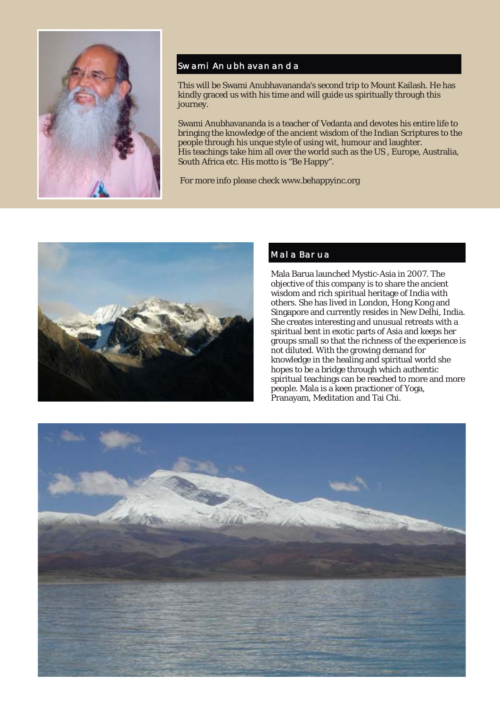

## Swami Anubhavananda

This will be Swami Anubhavananda's second trip to Mount Kailash. He has kindly graced us with his time and will guide us spiritually through this journey.

Swami Anubhavananda is a teacher of Vedanta and devotes his entire life to bringing the knowledge of the ancient wisdom of the Indian Scriptures to the people through his unque style of using wit, humour and laughter. His teachings take him all over the world such as the US , Europe, Australia, South Africa etc. His motto is "Be Happy".

For more info please check www.behappyinc.org



## Mala Barua

Mala Barua launched Mystic-Asia in 2007. The objective of this company is to share the ancient wisdom and rich spiritual heritage of India with others. She has lived in London, Hong Kong and Singapore and currently resides in New Delhi, India. She creates interesting and unusual retreats with a spiritual bent in exotic parts of Asia and keeps her groups small so that the richness of the experience is not diluted. With the growing demand for knowledge in the healing and spiritual world she hopes to be a bridge through which authentic spiritual teachings can be reached to more and more people. Mala is a keen practioner of Yoga, Pranayam, Meditation and Tai Chi.